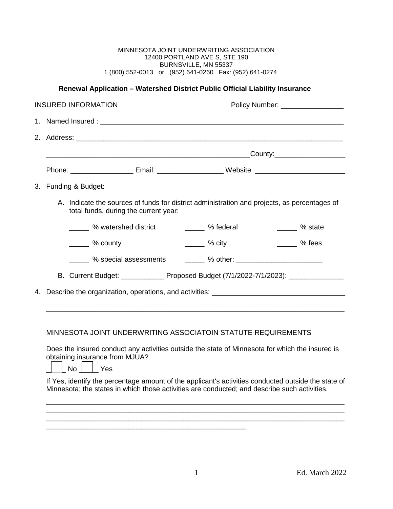| MINNESOTA JOINT UNDERWRITING ASSOCIATION               |  |  |  |  |
|--------------------------------------------------------|--|--|--|--|
| 12400 PORTLAND AVE S. STE 190                          |  |  |  |  |
| BURNSVILLE, MN 55337                                   |  |  |  |  |
| 1 (800) 552-0013 or (952) 641-0260 Fax: (952) 641-0274 |  |  |  |  |

## **Renewal Application – Watershed District Public Official Liability Insurance**

| <b>INSURED INFORMATION</b> |                                                                                                                                                                                                                                              |                                                                                                                | Policy Number: _________________ |                       |
|----------------------------|----------------------------------------------------------------------------------------------------------------------------------------------------------------------------------------------------------------------------------------------|----------------------------------------------------------------------------------------------------------------|----------------------------------|-----------------------|
|                            |                                                                                                                                                                                                                                              |                                                                                                                |                                  |                       |
|                            |                                                                                                                                                                                                                                              |                                                                                                                |                                  |                       |
|                            |                                                                                                                                                                                                                                              |                                                                                                                |                                  |                       |
|                            |                                                                                                                                                                                                                                              | Phone: __________________________ Email: ___________________________Website: _________________________________ |                                  |                       |
|                            |                                                                                                                                                                                                                                              | 3. Funding & Budget:                                                                                           |                                  |                       |
|                            | A. Indicate the sources of funds for district administration and projects, as percentages of<br>total funds, during the current year:                                                                                                        |                                                                                                                |                                  |                       |
|                            |                                                                                                                                                                                                                                              | 26 watershed district                                                                                          | <b>Example 2</b> % federal       | $\frac{1}{2}$ % state |
|                            |                                                                                                                                                                                                                                              | ______ % county                                                                                                | $\frac{1}{2}$ % city             | $\frac{1}{2}$ % fees  |
|                            |                                                                                                                                                                                                                                              |                                                                                                                |                                  |                       |
|                            |                                                                                                                                                                                                                                              | B. Current Budget: ________________ Proposed Budget (7/1/2022-7/1/2023): ______________                        |                                  |                       |
| 4.                         | Describe the organization, operations, and activities: __________________________                                                                                                                                                            |                                                                                                                |                                  |                       |
|                            |                                                                                                                                                                                                                                              |                                                                                                                |                                  |                       |
|                            | MINNESOTA JOINT UNDERWRITING ASSOCIATOIN STATUTE REQUIREMENTS<br>Does the insured conduct any activities outside the state of Minnesota for which the insured is<br>obtaining insurance from MJUA?<br>$\vert$ $\vert$ No $\vert$ $\vert$ Yes |                                                                                                                |                                  |                       |
|                            | If Yes, identify the percentage amount of the applicant's activities conducted outside the state of<br>Minnesota; the states in which those activities are conducted; and describe such activities.                                          |                                                                                                                |                                  |                       |

\_\_\_\_\_\_\_\_\_\_\_\_\_\_\_\_\_\_\_\_\_\_\_\_\_\_\_\_\_\_\_\_\_\_\_\_\_\_\_\_\_\_\_\_\_\_\_\_\_\_\_\_\_\_\_\_\_\_\_\_\_\_\_\_\_\_\_\_\_\_\_\_\_\_\_\_

\_\_\_\_\_\_\_\_\_\_\_\_\_\_\_\_\_\_\_\_\_\_\_\_\_\_\_\_\_\_\_\_\_\_\_\_\_\_\_\_\_\_\_\_\_\_\_\_\_\_\_

\_\_\_\_\_\_\_\_\_\_\_\_\_\_\_\_\_\_\_\_\_\_\_\_\_\_\_\_\_\_\_\_\_\_\_\_\_\_\_\_\_\_\_\_\_\_\_\_\_\_\_\_\_\_\_\_\_\_\_\_\_\_\_\_\_\_\_\_\_\_\_\_\_\_\_\_